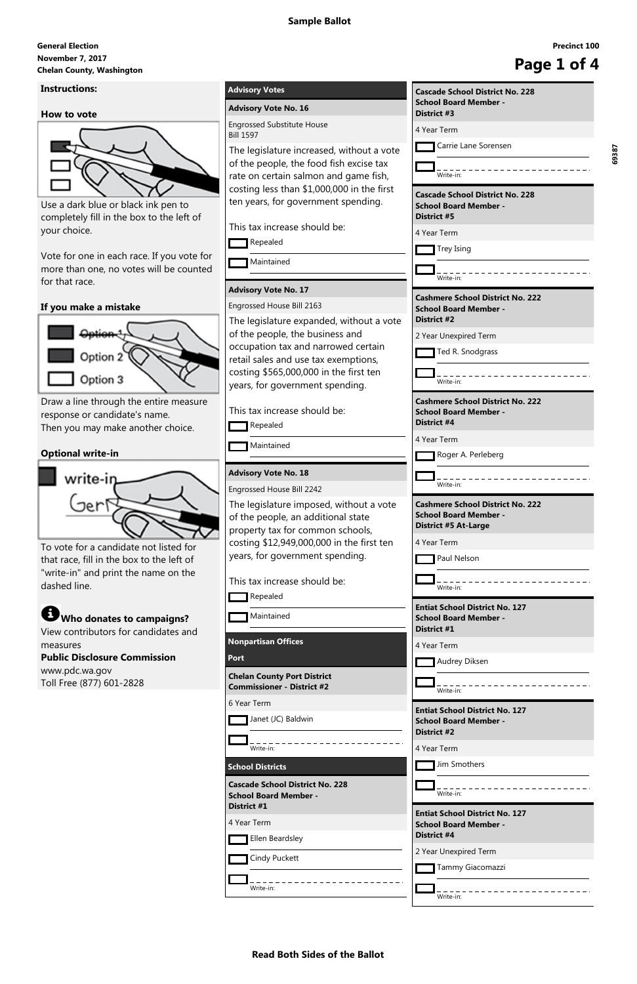# **November 7, 2017 General Election** November 7, 2017<br>Chelan County, Washington **Page 1 of 4**

**Read Both Sides of the Ballot**

## **Instructions:**

#### **How to vote**



Use a dark blue or black ink pen to completely fill in the box to the left of your choice.

Vote for one in each race. If you vote for more than one, no votes will be counted for that race.

## **If you make a mistake**



Draw a line through the entire measure response or candidate's name. Then you may make another choice.

# **Optional write-in**



To vote for a candidate not listed for that race, fill in the box to the left of "write-in" and print the name on the dashed line.

**Who donates to campaigns?**

View contributors for candidates and measures

**Public Disclosure Commission** www.pdc.wa.gov Toll Free (877) 601-2828

# **Advisory Votes**

## **Advisory Vote No. 16**

```
Engrossed Substitute House
Bill 1597
```
The legislature increased, without a vote of the people, the food fish excise tax rate on certain salmon and game fish, costing less than \$1,000,000 in the first ten years, for government spending.

This tax increase should be:

Repealed

**Maintained** 

## **Advisory Vote No. 17**

Engrossed House Bill 2163

The legislature expanded, without a vote of the people, the business and occupation tax and narrowed certain retail sales and use tax exemptions, costing \$565,000,000 in the first ten years, for government spending.

This tax increase should be:

Repealed

**Maintained** 

# **Advisory Vote No. 18**

Engrossed House Bill 2242

The legislature imposed, without a vote of the people, an additional state property tax for common schools, costing \$12,949,000,000 in the first ten years, for government spending.

This tax increase should be:

Repealed

**Maintained** 

**Nonpartisan Offices**

**Port**

**Chelan County Port District Commissioner - District #2**

6 Year Term

Janet (JC) Baldwin

| гаус ти                                                                                                |
|--------------------------------------------------------------------------------------------------------|
| <b>Cascade School District No. 228</b><br><b>School Board Member -</b><br><b>District #3</b>           |
| 4 Year Term                                                                                            |
| <b>Carrie Lane Sorensen</b>                                                                            |
| Write-in:                                                                                              |
| <b>Cascade School District No. 228</b><br><b>School Board Member -</b><br><b>District #5</b>           |
| 4 Year Term                                                                                            |
| Trey Ising                                                                                             |
| Write-in:                                                                                              |
| <b>Cashmere School District No. 222</b><br><b>School Board Member -</b><br><b>District #2</b>          |
| 2 Year Unexpired Term                                                                                  |
| Ted R. Snodgrass                                                                                       |
| Write-in:                                                                                              |
| <b>Cashmere School District No. 222</b><br><b>School Board Member -</b><br>District #4                 |
| 4 Year Term                                                                                            |
| Roger A. Perleberg                                                                                     |
| Write-in:                                                                                              |
| <b>Cashmere School District No. 222</b><br><b>School Board Member -</b><br><b>District #5 At-Large</b> |
| 4 Year Term                                                                                            |
| Paul Nelson                                                                                            |
| Write-in:                                                                                              |
| <b>Entiat School District No. 127</b><br><b>School Board Member -</b><br>District #1                   |
| 4 Year Term                                                                                            |
| Audrey Diksen                                                                                          |
|                                                                                                        |
| Write-in:                                                                                              |

|                                                                        | District #2                                 |  |
|------------------------------------------------------------------------|---------------------------------------------|--|
| Write-in:                                                              | 4 Year Term                                 |  |
| <b>School Districts</b>                                                | Jim Smothers                                |  |
| <b>Cascade School District No. 228</b><br><b>School Board Member -</b> | Write-in:                                   |  |
| District #1<br>4 Year Term                                             | <b>Entiat School District No. 127</b>       |  |
| Ellen Beardsley                                                        | <b>School Board Member -</b><br>District #4 |  |
|                                                                        |                                             |  |
|                                                                        | 2 Year Unexpired Term                       |  |
| Cindy Puckett                                                          | Tammy Giacomazzi                            |  |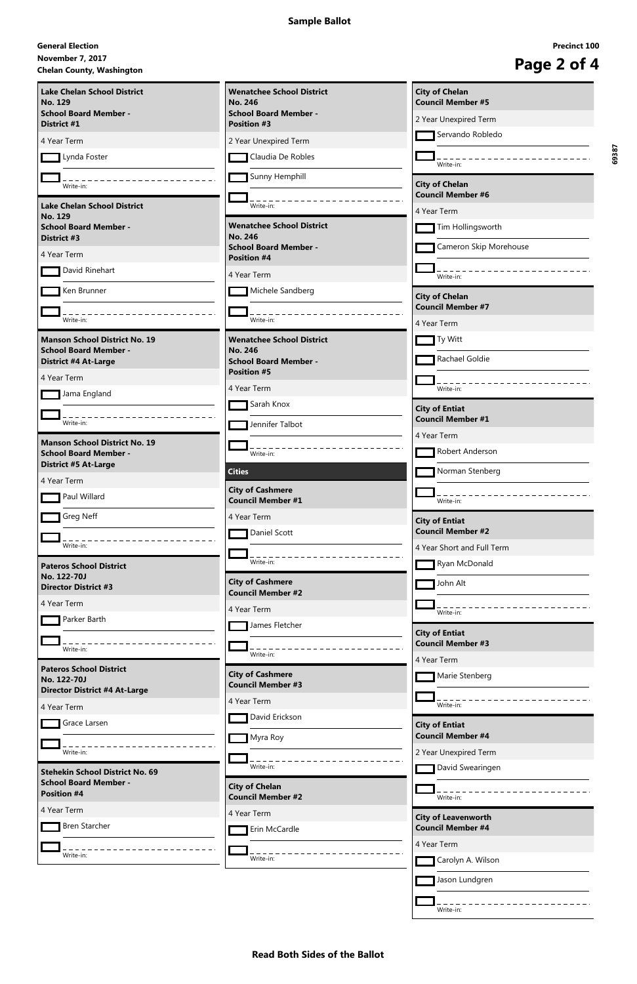# **November 7, 2017 General Election Chelan County, Washington**<br> **Chelan County, Washington**

**Read Both Sides of the Ballot**

|             | <b>Precinct 100</b> |  |
|-------------|---------------------|--|
| Page 2 of 4 |                     |  |

| <b>Lake Chelan School District</b><br><b>No. 129</b>                         | <b>Wenatchee School District</b><br><b>No. 246</b>  | <b>City of Chelan</b><br><b>Council Member #5</b> |
|------------------------------------------------------------------------------|-----------------------------------------------------|---------------------------------------------------|
| <b>School Board Member -</b>                                                 | <b>School Board Member -</b>                        | 2 Year Unexpired Term                             |
| District #1                                                                  | <b>Position #3</b>                                  | Servando Robledo                                  |
| 4 Year Term<br>Lynda Foster                                                  | 2 Year Unexpired Term<br>Claudia De Robles          |                                                   |
|                                                                              |                                                     | Write-in:                                         |
| Write-in:                                                                    | Sunny Hemphill                                      | <b>City of Chelan</b><br><b>Council Member #6</b> |
| <b>Lake Chelan School District</b><br><b>No. 129</b>                         | Write-in:                                           | 4 Year Term                                       |
| <b>School Board Member -</b><br>District #3                                  | <b>Wenatchee School District</b><br><b>No. 246</b>  | Tim Hollingsworth                                 |
| 4 Year Term                                                                  | <b>School Board Member -</b><br><b>Position #4</b>  | Cameron Skip Morehouse                            |
| David Rinehart                                                               | 4 Year Term                                         | Write-in:                                         |
| Ken Brunner                                                                  | Michele Sandberg                                    | <b>City of Chelan</b>                             |
| Write-in:                                                                    | Write-in:                                           | <b>Council Member #7</b><br>4 Year Term           |
| <b>Manson School District No. 19</b>                                         | <b>Wenatchee School District</b>                    | Ty Witt                                           |
| <b>School Board Member -</b><br><b>District #4 At-Large</b>                  | <b>No. 246</b><br><b>School Board Member -</b>      | Rachael Goldie                                    |
| 4 Year Term                                                                  | <b>Position #5</b>                                  |                                                   |
| Jama England                                                                 | 4 Year Term<br>Sarah Knox                           | Write-in:                                         |
| Write-in:                                                                    | Jennifer Talbot                                     | <b>City of Entiat</b><br><b>Council Member #1</b> |
| <b>Manson School District No. 19</b>                                         |                                                     | 4 Year Term                                       |
| <b>School Board Member -</b><br><b>District #5 At-Large</b>                  | Write-in:                                           | Robert Anderson                                   |
| 4 Year Term                                                                  | <b>Cities</b>                                       | Norman Stenberg                                   |
| Paul Willard                                                                 | <b>City of Cashmere</b><br><b>Council Member #1</b> | Write-in:                                         |
| Greg Neff                                                                    | 4 Year Term                                         | <b>City of Entiat</b>                             |
| Write-in:                                                                    | Daniel Scott                                        | <b>Council Member #2</b>                          |
|                                                                              | Write-in:                                           | 4 Year Short and Full Term<br>Ryan McDonald       |
| <b>Pateros School District</b><br>No. 122-70J<br><b>Director District #3</b> | <b>City of Cashmere</b>                             | John Alt                                          |
| 4 Year Term                                                                  | <b>Council Member #2</b>                            |                                                   |
| Parker Barth                                                                 | 4 Year Term                                         | Write-in:                                         |
|                                                                              | James Fletcher                                      | <b>City of Entiat</b><br><b>Council Member #3</b> |
| Write-in:                                                                    | Write-in:                                           | 4 Year Term                                       |
| <b>Pateros School District</b><br>No. 122-70J                                | <b>City of Cashmere</b><br><b>Council Member #3</b> | Marie Stenberg                                    |
| <b>Director District #4 At-Large</b><br>4 Year Term                          | 4 Year Term                                         | Write-in:                                         |
| Grace Larsen                                                                 | David Erickson                                      | <b>City of Entiat</b>                             |
|                                                                              | Myra Roy                                            | <b>Council Member #4</b>                          |
| Write-in:                                                                    |                                                     | 2 Year Unexpired Term                             |
| <b>Stehekin School District No. 69</b>                                       | Write-in:                                           | David Swearingen                                  |
| <b>School Board Member -</b><br><b>Position #4</b>                           | <b>City of Chelan</b><br><b>Council Member #2</b>   | Write-in:                                         |
| 4 Year Term                                                                  | 4 Year Term                                         | <b>City of Leavenworth</b>                        |
| <b>Bren Starcher</b>                                                         | Erin McCardle                                       | <b>Council Member #4</b>                          |
| Write-in:                                                                    |                                                     | 4 Year Term                                       |
|                                                                              | Write-in:                                           | Carolyn A. Wilson                                 |
|                                                                              |                                                     | Jason Lundgren                                    |
|                                                                              |                                                     | Write-in:                                         |
|                                                                              |                                                     |                                                   |

**69387**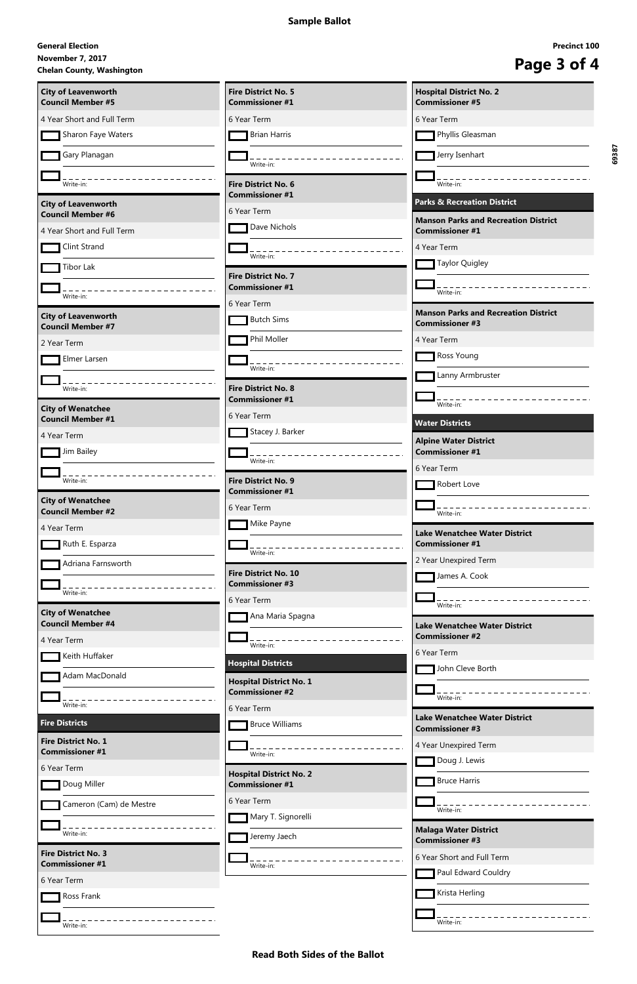# **November 7, 2017 General Election** November 7, 2017<br>Chelan County, Washington<br> **Chelan County, Washington**

**Read Both Sides of the Ballot**

| <b>City of Leavenworth</b><br><b>Council Member #5</b> | <b>Fire District No. 5</b><br><b>Commissioner #1</b>     | <b>Hospital District No. 2</b><br><b>Commissioner #5</b>              |
|--------------------------------------------------------|----------------------------------------------------------|-----------------------------------------------------------------------|
| 4 Year Short and Full Term                             | 6 Year Term                                              | 6 Year Term                                                           |
| Sharon Faye Waters                                     | <b>Brian Harris</b>                                      | Phyllis Gleasman                                                      |
| Gary Planagan                                          |                                                          | Jerry Isenhart                                                        |
|                                                        | Write-in:                                                |                                                                       |
| Write-in:                                              | <b>Fire District No. 6</b><br><b>Commissioner #1</b>     | Write-in:                                                             |
| <b>City of Leavenworth</b><br><b>Council Member #6</b> | 6 Year Term                                              | <b>Parks &amp; Recreation District</b>                                |
| 4 Year Short and Full Term                             | Dave Nichols                                             | <b>Manson Parks and Recreation District</b><br><b>Commissioner #1</b> |
| Clint Strand                                           | Write-in:                                                | 4 Year Term                                                           |
| Tibor Lak                                              | <b>Fire District No. 7</b>                               | <b>Taylor Quigley</b>                                                 |
| Write-in:                                              | <b>Commissioner #1</b>                                   | Write-in:                                                             |
|                                                        | 6 Year Term                                              | <b>Manson Parks and Recreation District</b>                           |
| <b>City of Leavenworth</b><br><b>Council Member #7</b> | <b>Butch Sims</b>                                        | <b>Commissioner #3</b>                                                |
| 2 Year Term                                            | Phil Moller                                              | 4 Year Term                                                           |
| Elmer Larsen                                           | Write-in:                                                | Ross Young                                                            |
| Write-in:                                              | <b>Fire District No. 8</b>                               | Lanny Armbruster                                                      |
| <b>City of Wenatchee</b>                               | <b>Commissioner #1</b>                                   | Write-in:                                                             |
| <b>Council Member #1</b>                               | 6 Year Term                                              | <b>Water Districts</b>                                                |
| 4 Year Term                                            | Stacey J. Barker                                         | <b>Alpine Water District</b>                                          |
| Jim Bailey                                             | Write-in:                                                | <b>Commissioner #1</b><br>6 Year Term                                 |
| Write-in:                                              | <b>Fire District No. 9</b>                               | Robert Love                                                           |
| <b>City of Wenatchee</b>                               | <b>Commissioner #1</b>                                   |                                                                       |
| <b>Council Member #2</b>                               | 6 Year Term<br>Mike Payne                                | Write-in:                                                             |
| 4 Year Term<br>Ruth E. Esparza                         |                                                          | <b>Lake Wenatchee Water District</b><br><b>Commissioner #1</b>        |
| Adriana Farnsworth                                     | Write-in:                                                | 2 Year Unexpired Term                                                 |
|                                                        | <b>Fire District No. 10</b><br><b>Commissioner #3</b>    | James A. Cook                                                         |
| Write-in:                                              | 6 Year Term                                              |                                                                       |
| <b>City of Wenatchee</b><br><b>Council Member #4</b>   | Ana Maria Spagna                                         | Write-in:                                                             |
| 4 Year Term                                            |                                                          | <b>Lake Wenatchee Water District</b><br><b>Commissioner #2</b>        |
| Keith Huffaker                                         | Write-in:                                                | 6 Year Term                                                           |
| Adam MacDonald                                         | <b>Hospital Districts</b>                                | John Cleve Borth                                                      |
|                                                        | <b>Hospital District No. 1</b><br><b>Commissioner #2</b> | Write-in:                                                             |
| Write-in:                                              | 6 Year Term                                              | <b>Lake Wenatchee Water District</b>                                  |
| <b>Fire Districts</b>                                  | <b>Bruce Williams</b>                                    | <b>Commissioner #3</b>                                                |
| <b>Fire District No. 1</b><br><b>Commissioner #1</b>   | Write-in:                                                | 4 Year Unexpired Term                                                 |
| 6 Year Term                                            | <b>Hospital District No. 2</b>                           | Doug J. Lewis                                                         |
| Doug Miller                                            | <b>Commissioner #1</b>                                   | <b>Bruce Harris</b>                                                   |
| Cameron (Cam) de Mestre                                | 6 Year Term                                              | Write-in:                                                             |
| Write-in:                                              | Mary T. Signorelli                                       | <b>Malaga Water District</b>                                          |
| <b>Fire District No. 3</b>                             | Jeremy Jaech                                             | <b>Commissioner #3</b>                                                |
| <b>Commissioner #1</b>                                 | Write-in:                                                | 6 Year Short and Full Term<br>Paul Edward Couldry                     |
| 6 Year Term                                            |                                                          | Krista Herling                                                        |
| Ross Frank                                             |                                                          |                                                                       |
| Write-in:                                              |                                                          | Write-in:                                                             |